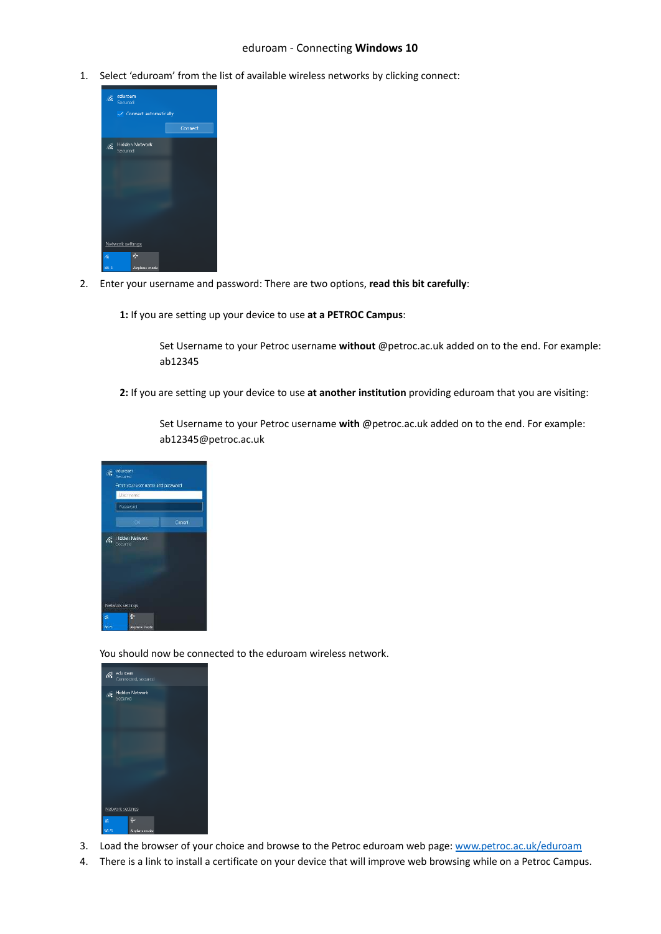## eduroam - Connecting **Windows 10**

1. Select 'eduroam' from the list of available wireless networks by clicking connect:



2. Enter your username and password: There are two options, **read this bit carefully**:

**1:** If you are setting up your device to use **at a PETROC Campus**:

Set Username to your Petroc username **without** @petroc.ac.uk added on to the end. For example: ab12345

**2:** If you are setting up your device to use **at another institution** providing eduroam that you are visiting:

Set Username to your Petroc username **with** @petroc.ac.uk added on to the end. For example: ab12345@petroc.ac.uk



You should now be connected to the eduroam wireless network.



- 3. Load the browser of your choice and browse to the Petroc eduroam web page: [www.petroc.ac.uk/eduroam](http://www.petroc.ac.uk/eduroam)
- 4. There is a link to install a certificate on your device that will improve web browsing while on a Petroc Campus.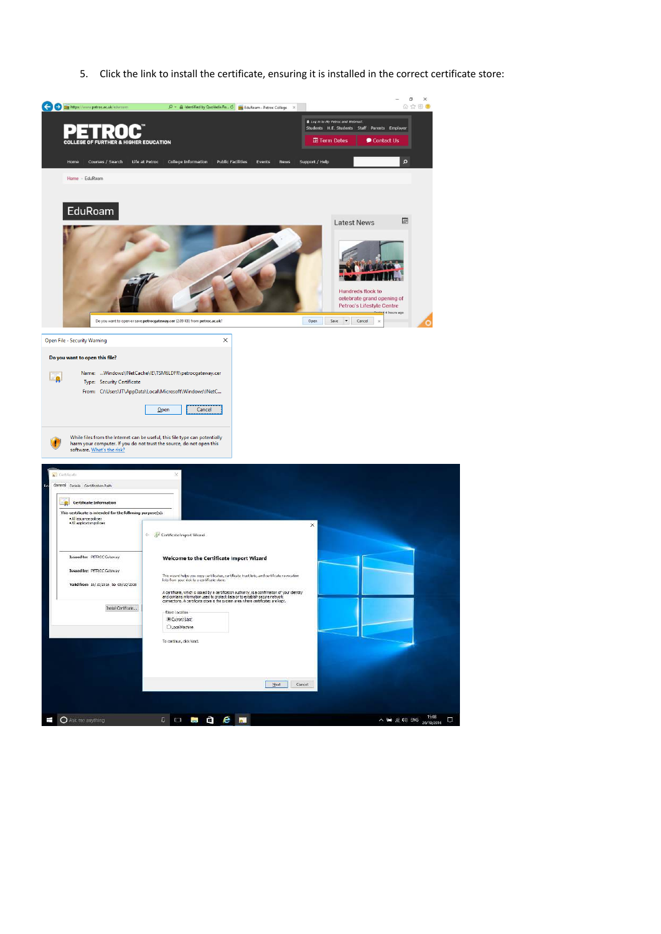5. Click the link to install the certificate, ensuring it is installed in the correct certificate store:

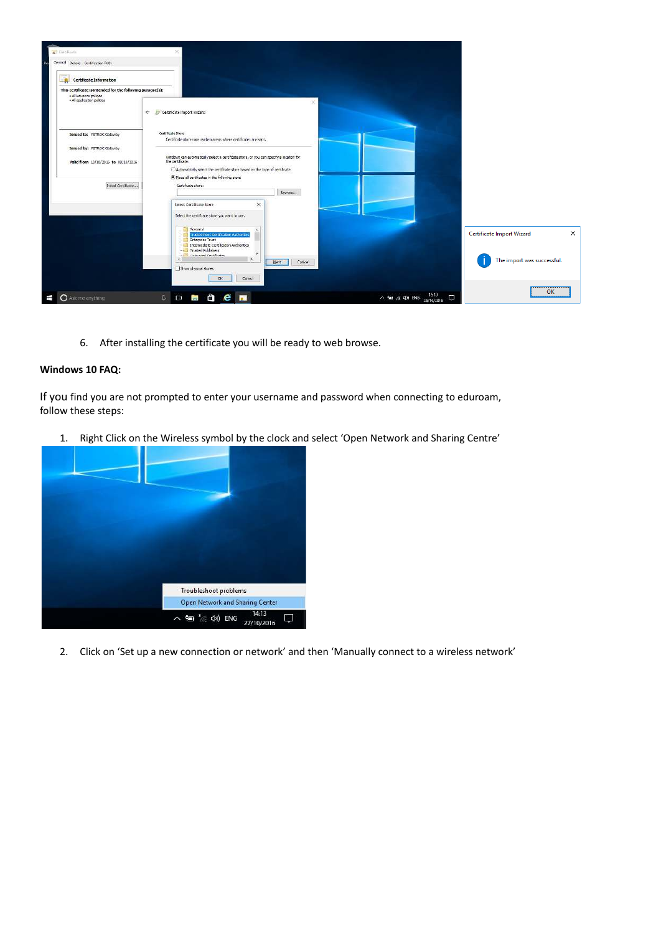

6. After installing the certificate you will be ready to web browse.

## **Windows 10 FAQ:**

If you find you are not prompted to enter your username and password when connecting to eduroam, follow these steps:

1. Right Click on the Wireless symbol by the clock and select 'Open Network and Sharing Centre'



2. Click on 'Set up a new connection or network' and then 'Manually connect to a wireless network'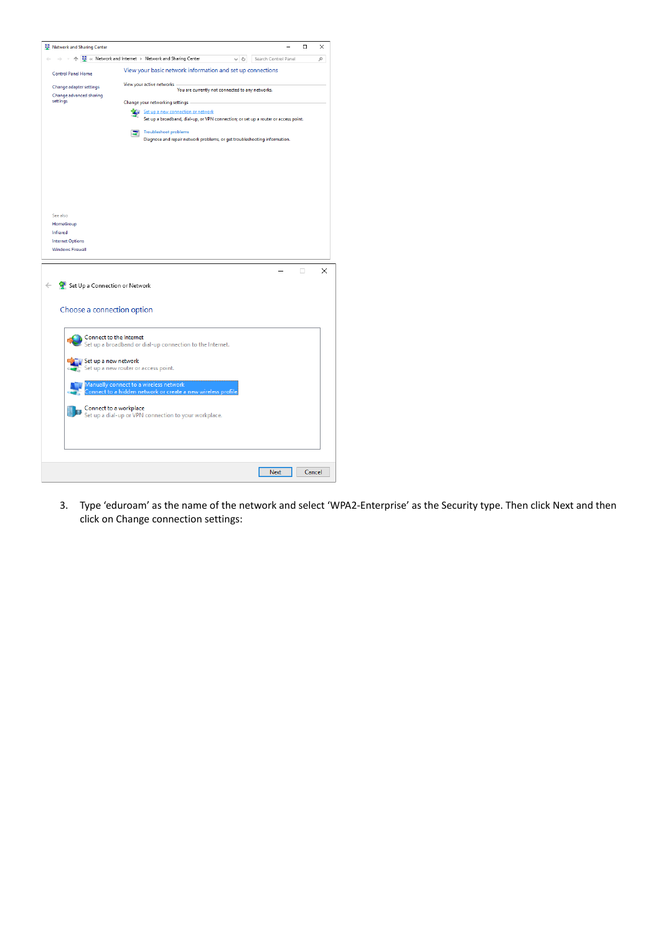| Network and Sharing Center                                                                               |                                                            |  |  |  |  |  |  |  |  |  |  |  |  |                                    |  |  |  |  |  |  |     |  |  |                                                                                     |  | $\Box$ |        | X |
|----------------------------------------------------------------------------------------------------------|------------------------------------------------------------|--|--|--|--|--|--|--|--|--|--|--|--|------------------------------------|--|--|--|--|--|--|-----|--|--|-------------------------------------------------------------------------------------|--|--------|--------|---|
| ↑ $\frac{11}{24}$ « Network and Internet > Network and Sharing Center                                    |                                                            |  |  |  |  |  |  |  |  |  |  |  |  |                                    |  |  |  |  |  |  | ৺ ু |  |  | Search Control Panel                                                                |  |        |        | ۹ |
| <b>Control Panel Home</b>                                                                                | View your basic network information and set up connections |  |  |  |  |  |  |  |  |  |  |  |  |                                    |  |  |  |  |  |  |     |  |  |                                                                                     |  |        |        |   |
| View your active networks<br>Change adapter settings<br>You are currently not connected to any networks. |                                                            |  |  |  |  |  |  |  |  |  |  |  |  |                                    |  |  |  |  |  |  |     |  |  |                                                                                     |  |        |        |   |
| Change advanced sharing                                                                                  | settings<br>Change your networking settings                |  |  |  |  |  |  |  |  |  |  |  |  |                                    |  |  |  |  |  |  |     |  |  |                                                                                     |  |        |        |   |
|                                                                                                          |                                                            |  |  |  |  |  |  |  |  |  |  |  |  | Set up a new connection or network |  |  |  |  |  |  |     |  |  |                                                                                     |  |        |        |   |
|                                                                                                          |                                                            |  |  |  |  |  |  |  |  |  |  |  |  |                                    |  |  |  |  |  |  |     |  |  | Set up a broadband, dial-up, or VPN connection; or set up a router or access point. |  |        |        |   |
|                                                                                                          |                                                            |  |  |  |  |  |  |  |  |  |  |  |  | <b>Troubleshoot problems</b>       |  |  |  |  |  |  |     |  |  |                                                                                     |  |        |        |   |
|                                                                                                          |                                                            |  |  |  |  |  |  |  |  |  |  |  |  |                                    |  |  |  |  |  |  |     |  |  | Diagnose and repair network problems, or get troubleshooting information.           |  |        |        |   |
|                                                                                                          |                                                            |  |  |  |  |  |  |  |  |  |  |  |  |                                    |  |  |  |  |  |  |     |  |  |                                                                                     |  |        |        |   |
|                                                                                                          |                                                            |  |  |  |  |  |  |  |  |  |  |  |  |                                    |  |  |  |  |  |  |     |  |  |                                                                                     |  |        |        |   |
|                                                                                                          |                                                            |  |  |  |  |  |  |  |  |  |  |  |  |                                    |  |  |  |  |  |  |     |  |  |                                                                                     |  |        |        |   |
|                                                                                                          |                                                            |  |  |  |  |  |  |  |  |  |  |  |  |                                    |  |  |  |  |  |  |     |  |  |                                                                                     |  |        |        |   |
|                                                                                                          |                                                            |  |  |  |  |  |  |  |  |  |  |  |  |                                    |  |  |  |  |  |  |     |  |  |                                                                                     |  |        |        |   |
| See also                                                                                                 |                                                            |  |  |  |  |  |  |  |  |  |  |  |  |                                    |  |  |  |  |  |  |     |  |  |                                                                                     |  |        |        |   |
| HomeGroup<br>Infrared                                                                                    |                                                            |  |  |  |  |  |  |  |  |  |  |  |  |                                    |  |  |  |  |  |  |     |  |  |                                                                                     |  |        |        |   |
| <b>Internet Options</b>                                                                                  |                                                            |  |  |  |  |  |  |  |  |  |  |  |  |                                    |  |  |  |  |  |  |     |  |  |                                                                                     |  |        |        |   |
| <b>Windows Firewall</b>                                                                                  |                                                            |  |  |  |  |  |  |  |  |  |  |  |  |                                    |  |  |  |  |  |  |     |  |  |                                                                                     |  |        |        |   |
|                                                                                                          |                                                            |  |  |  |  |  |  |  |  |  |  |  |  |                                    |  |  |  |  |  |  |     |  |  |                                                                                     |  |        |        |   |
|                                                                                                          |                                                            |  |  |  |  |  |  |  |  |  |  |  |  |                                    |  |  |  |  |  |  |     |  |  |                                                                                     |  | п      |        | × |
| Set Up a Connection or Network                                                                           |                                                            |  |  |  |  |  |  |  |  |  |  |  |  |                                    |  |  |  |  |  |  |     |  |  |                                                                                     |  |        |        |   |
|                                                                                                          |                                                            |  |  |  |  |  |  |  |  |  |  |  |  |                                    |  |  |  |  |  |  |     |  |  |                                                                                     |  |        |        |   |
| Choose a connection option                                                                               |                                                            |  |  |  |  |  |  |  |  |  |  |  |  |                                    |  |  |  |  |  |  |     |  |  |                                                                                     |  |        |        |   |
|                                                                                                          |                                                            |  |  |  |  |  |  |  |  |  |  |  |  |                                    |  |  |  |  |  |  |     |  |  |                                                                                     |  |        |        |   |
| Connect to the Internet                                                                                  |                                                            |  |  |  |  |  |  |  |  |  |  |  |  |                                    |  |  |  |  |  |  |     |  |  |                                                                                     |  |        |        |   |
| Set up a broadband or dial-up connection to the Internet.                                                |                                                            |  |  |  |  |  |  |  |  |  |  |  |  |                                    |  |  |  |  |  |  |     |  |  |                                                                                     |  |        |        |   |
| Set up a new network                                                                                     |                                                            |  |  |  |  |  |  |  |  |  |  |  |  |                                    |  |  |  |  |  |  |     |  |  |                                                                                     |  |        |        |   |
| Set up a new router or access point.                                                                     |                                                            |  |  |  |  |  |  |  |  |  |  |  |  |                                    |  |  |  |  |  |  |     |  |  |                                                                                     |  |        |        |   |
| Manually connect to a wireless network                                                                   |                                                            |  |  |  |  |  |  |  |  |  |  |  |  |                                    |  |  |  |  |  |  |     |  |  |                                                                                     |  |        |        |   |
| onnect to a hidden network or create a new wireless profile.                                             |                                                            |  |  |  |  |  |  |  |  |  |  |  |  |                                    |  |  |  |  |  |  |     |  |  |                                                                                     |  |        |        |   |
| Connect to a workplace                                                                                   |                                                            |  |  |  |  |  |  |  |  |  |  |  |  |                                    |  |  |  |  |  |  |     |  |  |                                                                                     |  |        |        |   |
| Set up a dial-up or VPN connection to your workplace.                                                    |                                                            |  |  |  |  |  |  |  |  |  |  |  |  |                                    |  |  |  |  |  |  |     |  |  |                                                                                     |  |        |        |   |
|                                                                                                          |                                                            |  |  |  |  |  |  |  |  |  |  |  |  |                                    |  |  |  |  |  |  |     |  |  |                                                                                     |  |        |        |   |
|                                                                                                          |                                                            |  |  |  |  |  |  |  |  |  |  |  |  |                                    |  |  |  |  |  |  |     |  |  |                                                                                     |  |        |        |   |
|                                                                                                          |                                                            |  |  |  |  |  |  |  |  |  |  |  |  |                                    |  |  |  |  |  |  |     |  |  |                                                                                     |  |        |        |   |
|                                                                                                          |                                                            |  |  |  |  |  |  |  |  |  |  |  |  |                                    |  |  |  |  |  |  |     |  |  | Next                                                                                |  |        | Cancel |   |
|                                                                                                          |                                                            |  |  |  |  |  |  |  |  |  |  |  |  |                                    |  |  |  |  |  |  |     |  |  |                                                                                     |  |        |        |   |

3. Type 'eduroam' as the name of the network and select 'WPA2-Enterprise' as the Security type. Then click Next and then click on Change connection settings: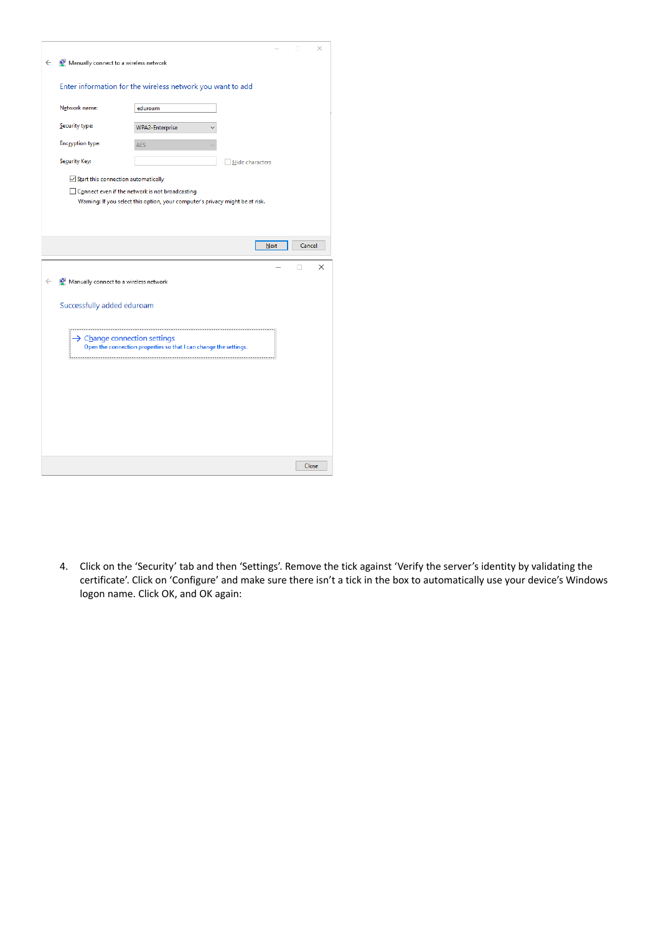|                                          |                                                                                                                                  |                 |             |        | × |
|------------------------------------------|----------------------------------------------------------------------------------------------------------------------------------|-----------------|-------------|--------|---|
| Manually connect to a wireless network   |                                                                                                                                  |                 |             |        |   |
|                                          | Enter information for the wireless network you want to add                                                                       |                 |             |        |   |
| Network name:                            | eduroam                                                                                                                          |                 |             |        |   |
| Security type:                           | <b>WPA2-Enterprise</b>                                                                                                           |                 |             |        |   |
| <b>Encryption type:</b>                  | <b>AES</b>                                                                                                                       |                 |             |        |   |
| Security Key:                            |                                                                                                                                  | Hide characters |             |        |   |
| Start this connection automatically      |                                                                                                                                  |                 |             |        |   |
|                                          | Connect even if the network is not broadcasting<br>Warning: If you select this option, your computer's privacy might be at risk. |                 |             |        |   |
|                                          |                                                                                                                                  |                 |             |        |   |
|                                          |                                                                                                                                  |                 |             |        |   |
|                                          |                                                                                                                                  |                 | <b>Next</b> | Cancel |   |
|                                          |                                                                                                                                  |                 |             |        |   |
|                                          |                                                                                                                                  |                 |             | п      | × |
| Manually connect to a wireless network   |                                                                                                                                  |                 |             |        |   |
| Successfully added eduroam               |                                                                                                                                  |                 |             |        |   |
|                                          |                                                                                                                                  |                 |             |        |   |
| $\rightarrow$ Change connection settings | Open the connection properties so that I can change the settings.                                                                |                 |             |        |   |
|                                          |                                                                                                                                  |                 |             |        |   |
|                                          |                                                                                                                                  |                 |             |        |   |
|                                          |                                                                                                                                  |                 |             |        |   |
|                                          |                                                                                                                                  |                 |             |        |   |
|                                          |                                                                                                                                  |                 |             |        |   |
|                                          |                                                                                                                                  |                 |             |        |   |

4. Click on the 'Security' tab and then 'Settings'. Remove the tick against 'Verify the server's identity by validating the certificate'. Click on 'Configure' and make sure there isn't a tick in the box to automatically use your device's Windows logon name. Click OK, and OK again: